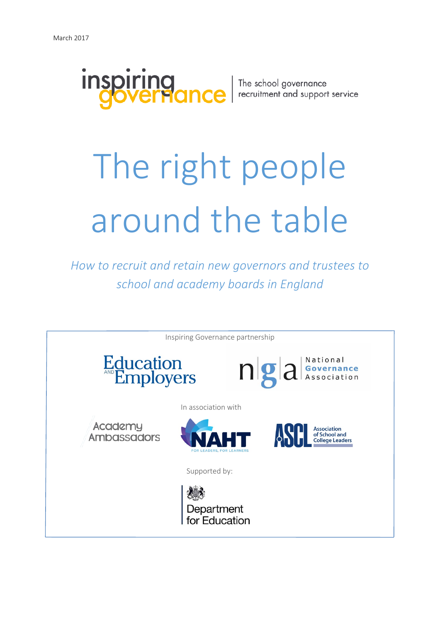

The school governance<br>recruitment and support service

# The right people around the table

*How to recruit and retain new governors and trustees to school and academy boards in England*

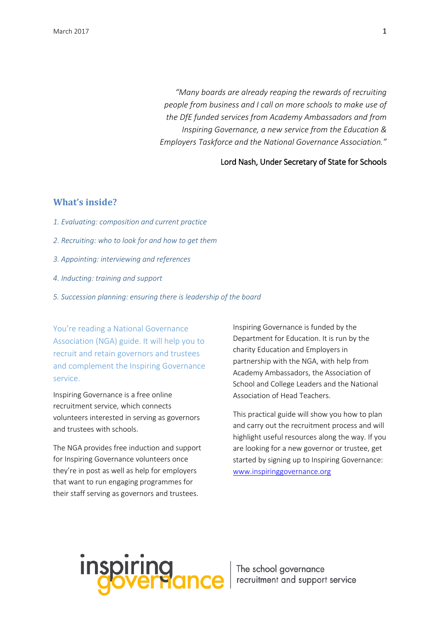*"Many boards are already reaping the rewards of recruiting people from business and I call on more schools to make use of the DfE funded services from Academy Ambassadors and from Inspiring Governance, a new service from the Education & Employers Taskforce and the National Governance Association."*

#### Lord Nash, Under Secretary of State for Schools

#### **What's inside?**

- *1. Evaluating: composition and current practice*
- *2. Recruiting: who to [look for and how to](#page-7-0) get them*
- *3. Appointing: interviewing and references*
- *[4. Inducting: training and s](#page-20-0)upport*
- *5. Succession planning: ensuring there is leadership of the board*

You're reading a National Governance Association (NGA) guide. It will help you to recruit and retain governors and trustees and complement the Inspiring Governance service.

Inspiring Governance is a free online recruitment service, which connects volunteers interested in serving as governors and trustees with schools.

The NGA provides free induction and support for Inspiring Governance volunteers once they're in post as well as help for employers that want to run engaging programmes for their staff serving as governors and trustees.

Inspiring Governance is funded by the Department for Education. It is run by the charity Education and Employers in partnership with the NGA, with help from Academy Ambassadors, the Association of School and College Leaders and the National Association of Head Teachers.

This practical guide will show you how to plan and carry out the recruitment process and will highlight useful resources along the way. If you are looking for a new governor or trustee, get started by signing up to Inspiring Governance: [www.inspiringgovernance.org](http://www.inspiringgovernance.org/)

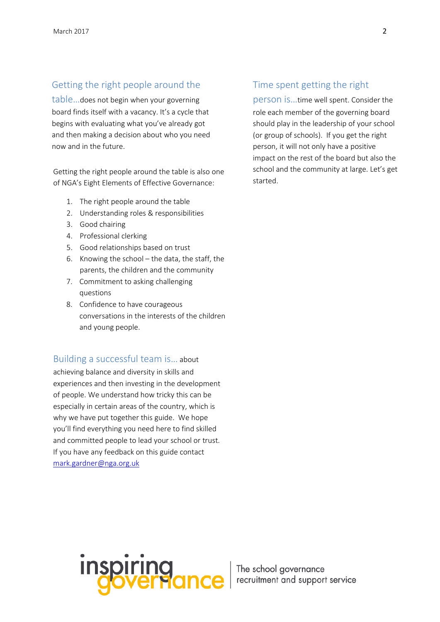# Getting the right people around the

table…does not begin when your governing board finds itself with a vacancy. It's a cycle that begins with evaluating what you've already got and then making a decision about who you need now and in the future.

Getting the right people around the table is also one of NGA's [Eight Elements of Effective Governance:](http://www.nga.org.uk/Guidance/Workings-Of-The-Governing-Body/Governance-Tools/Eight-Elements-of-Effective-Governance.aspx)

- 1. The right people around the table
- 2. Understanding roles & responsibilities
- 3. Good chairing
- 4. Professional clerking
- 5. Good relationships based on trust
- 6. Knowing the school the data, the staff, the parents, the children and the community
- 7. Commitment to asking challenging questions
- 8. Confidence to have courageous conversations in the interests of the children and young people.

### Building a successful team is… about

achieving balance and diversity in skills and experiences and then investing in the development of people. We understand how tricky this can be especially in certain areas of the country, which is why we have put together this guide. We hope you'll find everything you need here to find skilled and committed people to lead your school or trust. If you have any feedback on this guide contact [mark.gardner@nga.org.uk](mailto:mark.gardner@nga.org.uk)

## Time spent getting the right

person is…time well spent. Consider the role each member of the governing board should play in the leadership of your school (or group of schools). If you get the right person, it will not only have a positive impact on the rest of the board but also the school and the community at large. Let's get started.

Inspiring The school governance<br>Goverflance recruitment and support service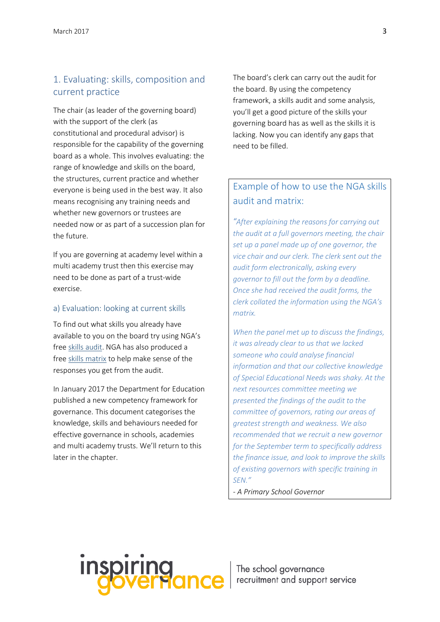# 1. Evaluating: skills, composition and current practice

The chair (as leader of the governing board) with the support of the clerk (as constitutional and procedural advisor) is responsible for the capability of the governing board as a whole. This involves evaluating: the range of knowledge and skills on the board, the structures, current practice and whether everyone is being used in the best way. It also means recognising any training needs and whether new governors or trustees are needed now or as part of a succession plan for the future.

If you are governing at academy level within a multi academy trust then this exercise may need to be done as part of a trust-wide exercise.

#### a) Evaluation: looking at current skills

To find out what skills you already have available to you on the board try using NGA's fre[e skills audit.](http://www.nga.org.uk/Guidance/Workings-Of-The-Governing-Body/Governance-Tools/Skills-Audit.aspx) NGA has also produced a free skills [matrix](http://www.nga.org.uk/getattachment/Guidance/Workings-Of-The-Governing-Body/Governance-Tools/Skills-Audit/GB-skills-matrix-FINAL.xlsx.aspx) to help make sense of the responses you get from the audit.

In January 2017 the Department for Education published a new competency framework for governance. This document categorises the knowledge, skills and behaviours needed for effective governance in schools, academies and multi academy trusts. We'll return to this later in the chapter.

The board's clerk can carry out the audit for the board. By using the competency framework, a skills audit and some analysis, you'll get a good picture of the skills your governing board has as well as the skills it is lacking. Now you can identify any gaps that need to be filled.

# Example of how to use the NGA skills audit and matrix:

*"After explaining the reasons for carrying out the audit at a full governors meeting, the chair set up a panel made up of one governor, the vice chair and our clerk. The clerk sent out the audit form electronically, asking every governor to fill out the form by a deadline. Once she had received the audit forms, the clerk collated the information using the NGA's matrix.* 

*When the panel met up to discuss the findings, it was already clear to us that we lacked someone who could analyse financial information and that our collective knowledge of Special Educational Needs was shaky. At the next resources committee meeting we presented the findings of the audit to the committee of governors, rating our areas of greatest strength and weakness. We also recommended that we recruit a new governor for the September term to specifically address the finance issue, and look to improve the skills of existing governors with specific training in SEN."* 

*- A Primary School Governor* 

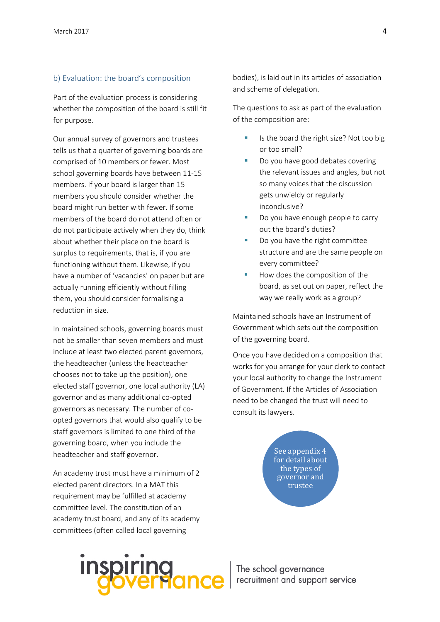#### b) Evaluation: the board's composition

Part of the evaluation process is considering whether the composition of the board is still fit for purpose.

Our annual survey of governors and trustees tells us that a quarter of governing boards are comprised of 10 members or fewer. Most school governing boards have between 11-15 members. If your board is larger than 15 members you should consider whether the board might run better with fewer. If some members of the board do not attend often or do not participate actively when they do, think about whether their place on the board is surplus to requirements, that is, if you are functioning without them. Likewise, if you have a number of 'vacancies' on paper but are actually running efficiently without filling them, you should consider formalising a reduction in size.

In maintained schools, governing boards must not be smaller than seven members and must include at least two elected parent governors, the headteacher (unless the headteacher chooses not to take up the position), one elected staff governor, one local authority (LA) governor and as many additional co-opted governors as necessary. The number of coopted governors that would also qualify to be staff governors is limited to one third of the governing board, when you include the headteacher and staff governor.

An academy trust must have a minimum of 2 elected parent directors. In a MAT this requirement may be fulfilled at academy committee level. The constitution of an academy trust board, and any of its academy committees (often called local governing

bodies), is laid out in its articles of association and scheme of delegation.

The questions to ask as part of the evaluation of the composition are:

- Is the board the right size? Not too big or too small?
- Do you have good debates covering the relevant issues and angles, but not so many voices that the discussion gets unwieldy or regularly inconclusive?
- Do you have enough people to carry out the board's duties?
- Do you have the right committee structure and are the same people on every committee?
- How does the composition of the board, as set out on paper, reflect the way we really work as a group?

Maintained schools have an Instrument of Government which sets out the composition of the governing board.

Once you have decided on a composition that works for you arrange for your clerk to contact your local authority to change the Instrument of Government. If the Articles of Association need to be changed the trust will need to consult its lawyers.

> See appendix 4 for detail about the types of governor and trustee

# **inspiring**<br>**governar**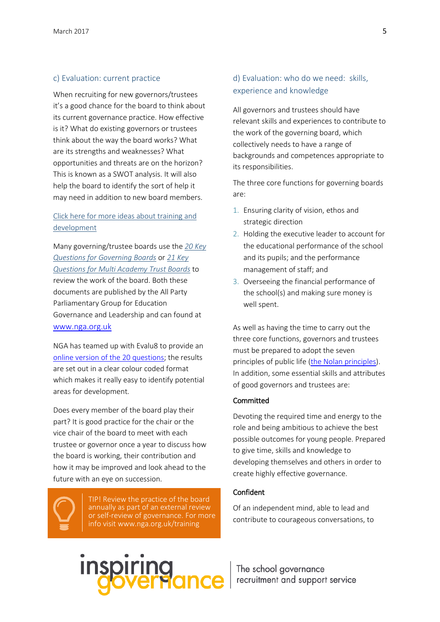#### c) Evaluation: current practice

When recruiting for new governors/trustees it's a good chance for the board to think about its current governance practice. How effective is it? What do existing governors or trustees think about the way the board works? What are its strengths and weaknesses? What opportunities and threats are on the horizon? This is known as a SWOT analysis. It will also help the board to identify the sort of help it may need in addition to new board members.

### [Click here for more ideas about training and](http://www.nga.org.uk/Services/NGA-Consultancy-and-Training-Service.aspx)  [development](http://www.nga.org.uk/Services/NGA-Consultancy-and-Training-Service.aspx)

Many governing/trustee boards use the *[20 Key](http://www.nga.org.uk/About-Us/APPG/Home/Twenty-Questions.aspx)  [Questions for Governing Boards](http://www.nga.org.uk/About-Us/APPG/Home/Twenty-Questions.aspx)* or *[21 Key](http://www.nga.org.uk/About-Us/APPG/Home/21Questions/21-Questions-for-Multi-academy-Trusts-FINAL.aspx)  [Questions for Multi Academy Trust Boards](http://www.nga.org.uk/About-Us/APPG/Home/21Questions/21-Questions-for-Multi-academy-Trusts-FINAL.aspx)* to review the work of the board. Both these documents are published by the All Party Parliamentary Group for Education Governance and Leadership and can found at [www.nga.org.uk](http://www.nga.org.uk/)

NGA has teamed up with Evalu8 to provide an [online version of the 20 questions;](http://www.nga.org.uk/Services/GBSelfEvaluationTool.aspx) the results are set out in a clear colour coded format which makes it really easy to identify potential areas for development.

Does every member of the board play their part? It is good practice for the chair or the vice chair of the board to meet with each trustee or governor once a year to discuss how the board is working, their contribution and how it may be improved and look ahead to the future with an eye on succession.

> TIP! Review the practice of the board annually as part of an external review or self-review of governance. For more info visit www.nga.org.uk/training

# d) Evaluation: who do we need: skills, experience and knowledge

All governors and trustees should have relevant skills and experiences to contribute to the work of the governing board, which collectively needs to have a range of backgrounds and competences appropriate to its responsibilities.

The three core functions for governing boards are:

- 1. Ensuring clarity of vision, ethos and strategic direction
- 2. Holding the executive leader to account for the educational performance of the school and its pupils; and the performance management of staff; and
- 3. Overseeing the financial performance of the school(s) and making sure money is well spent.

As well as having the time to carry out the three core functions, governors and trustees must be prepared to adopt the seven principles of public life [\(the Nolan principles\)](https://www.gov.uk/government/publications/the-7-principles-of-public-life/the-7-principles-of-public-life--2). In addition, some essential skills and attributes of good governors and trustees are:

#### **Committed**

Devoting the required time and energy to the role and being ambitious to achieve the best possible outcomes for young people. Prepared to give time, skills and knowledge to developing themselves and others in order to create highly effective governance.

#### Confident

Of an independent mind, able to lead and contribute to courageous conversations, to

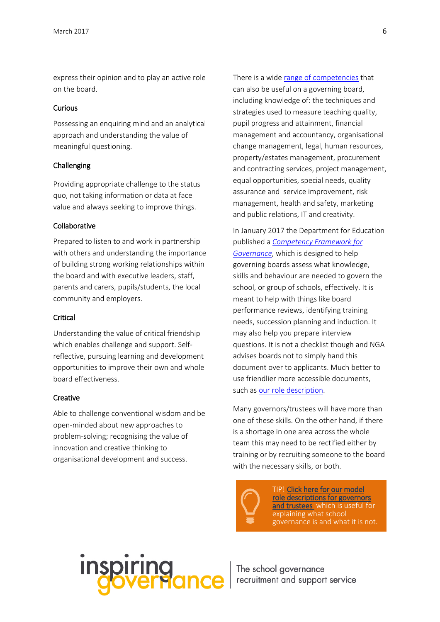express their opinion and to play an active role on the board.

#### Curious

Possessing an enquiring mind and an analytical approach and understanding the value of meaningful questioning.

#### Challenging

Providing appropriate challenge to the status quo, not taking information or data at face value and always seeking to improve things.

#### Collaborative

Prepared to listen to and work in partnership with others and understanding the importance of building strong working relationships within the board and with executive leaders, staff, parents and carers, pupils/students, the local community and employers.

#### **Critical**

Understanding the value of critical friendship which enables challenge and support. Selfreflective, pursuing learning and development opportunities to improve their own and whole board effectiveness.

#### **Creative**

Able to challenge conventional wisdom and be open-minded about new approaches to problem-solving; recognising the value of innovation and creative thinking to organisational development and success.

There is a wide [range of competencies](http://www.nga.org.uk/Guidance/Legislation,policies-and-procedures/Government-advice-and-guidance/Competency-Framework-for-Governance.aspx) that can also be useful on a governing board, including knowledge of: the techniques and strategies used to measure teaching quality, pupil progress and attainment, financial management and accountancy, organisational change management, legal, human resources, property/estates management, procurement and contracting services, project management, equal opportunities, special needs, quality assurance and service improvement, risk management, health and safety, marketing and public relations, IT and creativity.

In January 2017 the Department for Education published a *[Competency Framework for](http://www.nga.org.uk/Guidance/Legislation,policies-and-procedures/Government-advice-and-guidance/Competency-Framework-for-Governance.aspx)  [Governance](http://www.nga.org.uk/Guidance/Legislation,policies-and-procedures/Government-advice-and-guidance/Competency-Framework-for-Governance.aspx)*, which is designed to help governing boards assess what knowledge, skills and behaviour are needed to govern the school, or group of schools, effectively. It is meant to help with things like board performance reviews, identifying training needs, succession planning and induction. It may also help you prepare interview questions. It is not a checklist though and NGA advises boards not to simply hand this document over to applicants. Much better to use friendlier more accessible documents, such as [our role description.](http://www.nga.org.uk/Be-a-Governor/Be-a-Governor.aspx)

Many governors/trustees will have more than one of these skills. On the other hand, if there is a shortage in one area across the whole team this may need to be rectified either by training or by recruiting someone to the board with the necessary skills, or both.

TIP! [Click here for our model](http://www.nga.org.uk/Be-a-Governor.aspx)  [role descriptions for governors](http://www.nga.org.uk/Be-a-Governor.aspx)  [and trustees](http://www.nga.org.uk/Be-a-Governor.aspx) which is useful for explaining what school governance is and what it is not.

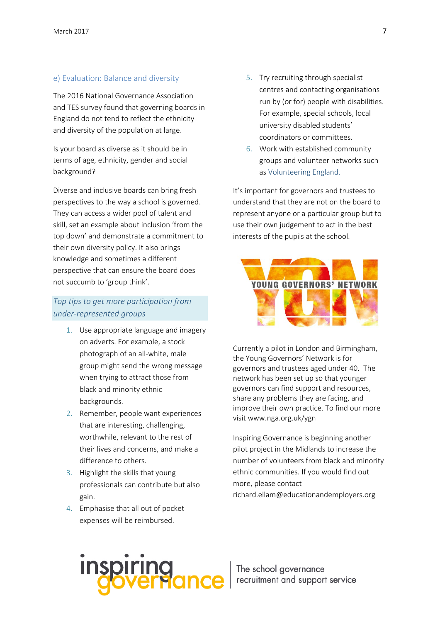#### e) Evaluation: Balance and diversity

The 2016 National Governance Association and TES survey found that governing boards in England do not tend to reflect the ethnicity and diversity of the population at large.

Is your board as diverse as it should be in terms of age, ethnicity, gender and social background?

Diverse and inclusive boards can bring fresh perspectives to the way a school is governed. They can access a wider pool of talent and skill, set an example about inclusion 'from the top down' and demonstrate a commitment to their own diversity policy. It also brings knowledge and sometimes a different perspective that can ensure the board does not succumb to 'group think'.

# *Top tips to get more participation from under-represented groups*

- 1. Use appropriate language and imagery on adverts. For example, a stock photograph of an all-white, male group might send the wrong message when trying to attract those from black and minority ethnic backgrounds.
- 2. Remember, people want experiences that are interesting, challenging, worthwhile, relevant to the rest of their lives and concerns, and make a difference to others.
- 3. Highlight the skills that young professionals can contribute but also gain.
- 4. Emphasise that all out of pocket expenses will be reimbursed.
- 5. Try recruiting through specialist centres and contacting organisations run by (or for) people with disabilities. For example, special schools, local university disabled students' coordinators or committees.
- 6. Work with established community groups and volunteer networks such as [Volunteering England.](http://www.volunteering.org.uk/)

It's important for governors and trustees to understand that they are not on the board to represent anyone or a particular group but to use their own judgement to act in the best interests of the pupils at the school.

<span id="page-7-0"></span>

Currently a pilot in London and Birmingham, the Young Governors' Network is for governors and trustees aged under 40. The network has been set up so that younger governors can find support and resources, share any problems they are facing, and improve their own practice. To find our more visit www.nga.org.uk/ygn

Inspiring Governance is beginning another pilot project in the Midlands to increase the number of volunteers from black and minority ethnic communities. If you would find out more, please contact richard.ellam@educationandemployers.org

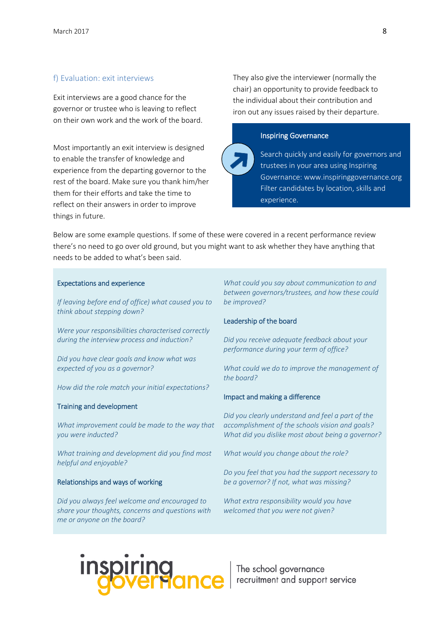#### f) Evaluation: exit interviews

Exit interviews are a good chance for the governor or trustee who is leaving to reflect on their own work and the work of the board.

Most importantly an exit interview is designed to enable the transfer of knowledge and experience from the departing governor to the rest of the board. Make sure you thank him/her them for their efforts and take the time to reflect on their answers in order to improve things in future.

They also give the interviewer (normally the chair) an opportunity to provide feedback to the individual about their contribution and iron out any issues raised by their departure.



Search quickly and easily for governors and trustees in your area using Inspiring Governance: www.inspiringgovernance.org Filter candidates by location, skills and experience.

Below are some example questions. If some of these were covered in a recent performance review there's no need to go over old ground, but you might want to ask whether they have anything that needs to be added to what's been said.

#### Expectations and experience

*If leaving before end of office) what caused you to think about stepping down?*

*Were your responsibilities characterised correctly during the interview process and induction?*

*Did you have clear goals and know what was expected of you as a governor?*

*How did the role match your initial expectations?*

#### Training and development

*What improvement could be made to the way that you were inducted?* 

*What training and development did you find most helpful and enjoyable?*

#### Relationships and ways of working

*Did you always feel welcome and encouraged to share your thoughts, concerns and questions with me or anyone on the board?* 

*What could you say about communication to and between governors/trustees, and how these could be improved?*

#### Leadership of the board

*Did you receive adequate feedback about your performance during your term of office?* 

*What could we do to improve the management of the board?*

#### Impact and making a difference

*Did you clearly understand and feel a part of the accomplishment of the schools vision and goals? What did you dislike most about being a governor?* 

*What would you change about the role?*

*Do you feel that you had the support necessary to be a governor? If not, what was missing?*

*What extra responsibility would you have welcomed that you were not given?*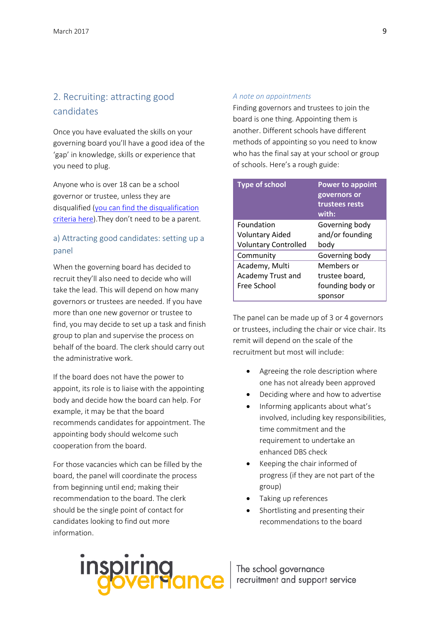# 2. Recruiting: attracting good candidates

Once you have evaluated the skills on your governing board you'll have a good idea of the 'gap' in knowledge, skills or experience that you need to plug.

Anyone who is over 18 can be a school governor or trustee, unless they are disqualified [\(you can find the disqualification](http://www.nga.org.uk/Guidance/Legislation,policies-and-procedures/Model-Policies/Electing-governors.aspx)  [criteria here\)](http://www.nga.org.uk/Guidance/Legislation,policies-and-procedures/Model-Policies/Electing-governors.aspx).They don't need to be a parent.

# a) Attracting good candidates: setting up a panel

When the governing board has decided to recruit they'll also need to decide who will take the lead. This will depend on how many governors or trustees are needed. If you have more than one new governor or trustee to find, you may decide to set up a task and finish group to plan and supervise the process on behalf of the board. The clerk should carry out the administrative work.

If the board does not have the power to appoint, its role is to liaise with the appointing body and decide how the board can help. For example, it may be that the board recommends candidates for appointment. The appointing body should welcome such cooperation from the board.

For those vacancies which can be filled by the board, the panel will coordinate the process from beginning until end; making their recommendation to the board. The clerk should be the single point of contact for candidates looking to find out more information.

#### *A note on appointments*

Finding governors and trustees to join the board is one thing. Appointing them is another. Different schools have different methods of appointing so you need to know who has the final say at your school or group of schools. Here's a rough guide:

| <b>Type of school</b>       | <b>Power to appoint</b> |
|-----------------------------|-------------------------|
|                             | governors or            |
|                             | trustees rests          |
|                             | with:                   |
| Foundation                  | Governing body          |
| <b>Voluntary Aided</b>      | and/or founding         |
| <b>Voluntary Controlled</b> | body                    |
| Community                   | Governing body          |
| Academy, Multi              | Members or              |
| Academy Trust and           | trustee board,          |
| Free School                 | founding body or        |
|                             | sponsor                 |

The panel can be made up of 3 or 4 governors or trustees, including the chair or vice chair. Its remit will depend on the scale of the recruitment but most will include:

- Agreeing the role description where one has not already been approved
- Deciding where and how to advertise
- Informing applicants about what's involved, including key responsibilities, time commitment and the requirement to undertake an enhanced DBS check
- Keeping the chair informed of progress (if they are not part of the group)
- Taking up references
- Shortlisting and presenting their recommendations to the board

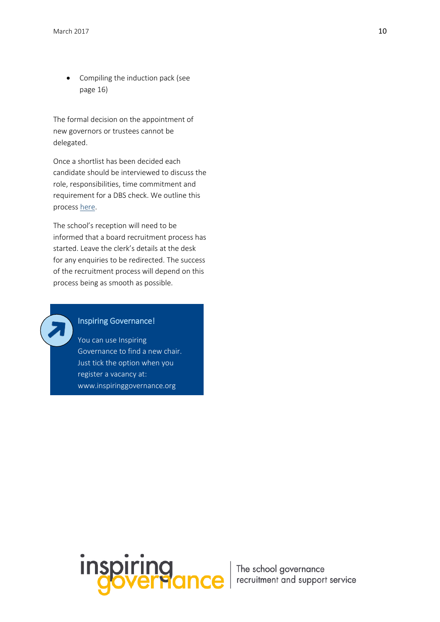• Compiling the induction pack (see page 16)

The formal decision on the appointment of new governors or trustees cannot be delegated.

Once a shortlist has been decided each candidate should be interviewed to discuss the role, responsibilities, time commitment and requirement for a DBS check. We outline this process [here.](#page-12-0)

The school's reception will need to be informed that a board recruitment process has started. Leave the clerk's details at the desk for any enquiries to be redirected. The success of the recruitment process will depend on this process being as smooth as possible.

# Inspiring Governance!

You can use Inspiring Governance to find a new chair. Just tick the option when you register a vacancy at: www.inspiringgovernance.org

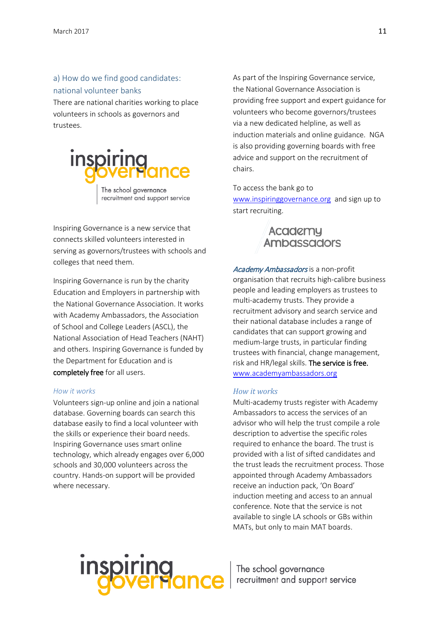a) How do we find good candidates: national volunteer banks There are national charities working to place volunteers in schools as governors and trustees.



Inspiring Governance is a new service that connects skilled volunteers interested in serving as governors/trustees with schools and colleges that need them.

Inspiring Governance is run by the charity Education and Employers in partnership with the National Governance Association. It works with Academy Ambassadors, the Association of School and College Leaders (ASCL), the National Association of Head Teachers (NAHT) and others. Inspiring Governance is funded by the Department for Education and is completely free for all users.

#### *How it works*

Volunteers sign-up online and join a national database. Governing boards can search this database easily to find a local volunteer with the skills or experience their board needs. Inspiring Governance uses smart online technology, which already engages over 6,000 schools and 30,000 volunteers across the country. Hands-on support will be provided where necessary.

As part of the Inspiring Governance service, the National Governance Association is providing free support and expert guidance for volunteers who become governors/trustees via a new dedicated helpline, as well as induction materials and online guidance. NGA is also providing governing boards with free advice and support on the recruitment of chairs.

To access the bank go to [www.inspiringgovernance.org](http://www.inspiringgovernance.org/) and sign up to start recruiting.

# Academy **Ambassadors**

Academy Ambassadors is a non-profit organisation that recruits high-calibre business people and leading employers as trustees to multi-academy trusts. They provide a recruitment advisory and search service and their national database includes a range of candidates that can support growing and medium-large trusts, in particular finding trustees with financial, change management, risk and HR/legal skills. The service is free. [www.academyambassadors.org](https://protect-eu.mimecast.com/s/n1Q7Bt9J5Fz)

#### *How it works*

Multi-academy trusts register with Academy Ambassadors to access the services of an advisor who will help the trust compile a role description to advertise the specific roles required to enhance the board. The trust is provided with a list of sifted candidates and the trust leads the recruitment process. Those appointed through Academy Ambassadors receive an induction pack, 'On Board' induction meeting and access to an annual conference. Note that the service is not available to single LA schools or GBs within MATs, but only to main MAT boards.

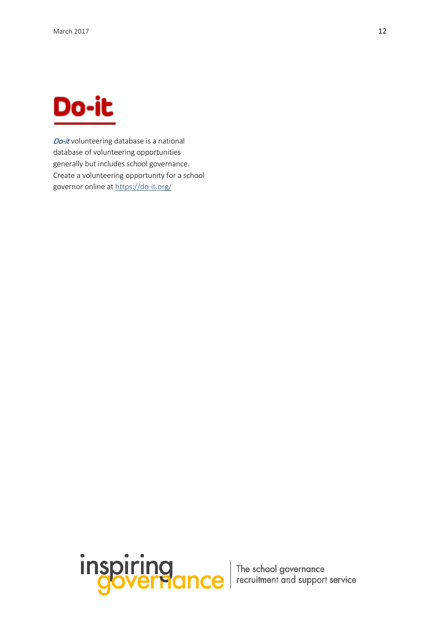<span id="page-12-0"></span>

Do-it volunteering database is a national database of volunteering opportunities generally but includes school governance. Create a volunteering opportunity for a school governor online at<https://do-it.org/>

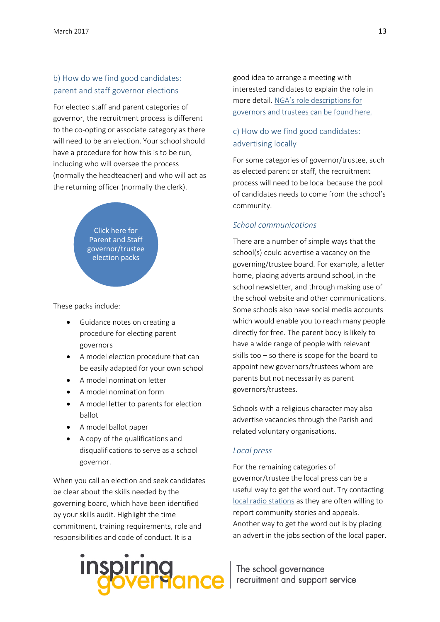# b) How do we find good candidates: parent and staff governor elections

For elected staff and parent categories of governor, the recruitment process is different to the co-opting or associate category as there will need to be an election. Your school should have a procedure for how this is to be run, including who will oversee the process (normally the headteacher) and who will act as the returning officer (normally the clerk).



These packs include:

- Guidance notes on creating a procedure for electing parent governors
- A model election procedure that can be easily adapted for your own school
- A model nomination letter
- A model nomination form
- A model letter to parents for election ballot
- A model ballot paper
- A copy of the qualifications and disqualifications to serve as a school governor.

When you call an election and seek candidates be clear about the skills needed by the governing board, which have been identified by your skills audit. Highlight the time commitment, training requirements, role and responsibilities and code of conduct. It is a

# **inspiring**<br>**Governar**

good idea to arrange a meeting with interested candidates to explain the role in more detail. NGA's [role descriptions](#page-25-0) for [governors and trustees can be found here.](#page-25-0)

# c) How do we find good candidates: advertising locally

For some categories of governor/trustee, such as elected parent or staff, the recruitment process will need to be local because the pool of candidates needs to come from the school's community.

#### *School communications*

There are a number of simple ways that the school(s) could advertise a vacancy on the governing/trustee board. For example, a letter home, placing adverts around school, in the school newsletter, and through making use of the school website and other communications. Some schools also have social media accounts which would enable you to reach many people directly for free. The parent body is likely to have a wide range of people with relevant skills too – so there is scope for the board to appoint new governors/trustees whom are parents but not necessarily as parent governors/trustees.

Schools with a religious character may also advertise vacancies through the Parish and related voluntary organisations.

#### *Local press*

For the remaining categories of governor/trustee the local press can be a useful way to get the word out. Try contacting [local radio stations](http://www.bbc.co.uk/radio/stations) as they are often willing to report community stories and appeals. Another way to get the word out is by placing an advert in the jobs section of the local paper.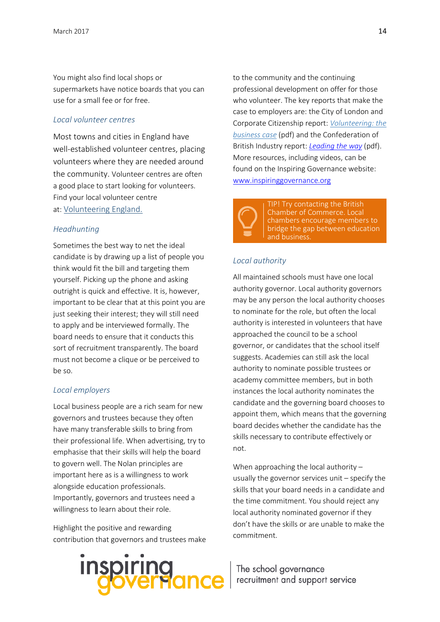You might also find local shops or supermarkets have notice boards that you can use for a small fee or for free.

#### *Local volunteer centres*

Most towns and cities in England have well-established volunteer centres, placing volunteers where they are needed around the community. Volunteer centres are often a good place to start looking for volunteers. Find your local volunteer centre at: [Volunteering England.](http://www.volunteering.org.uk/)

#### *Headhunting*

Sometimes the best way to net the ideal candidate is by drawing up a list of people you think would fit the bill and targeting them yourself. Picking up the phone and asking outright is quick and effective. It is, however, important to be clear that at this point you are just seeking their interest; they will still need to apply and be interviewed formally. The board needs to ensure that it conducts this sort of recruitment transparently. The board must not become a clique or be perceived to be so.

#### *Local employers*

Local business people are a rich seam for new governors and trustees because they often have many transferable skills to bring from their professional life. When advertising, try to emphasise that their skills will help the board to govern well. The Nolan principles are important here as is a willingness to work alongside education professionals. Importantly, governors and trustees need a willingness to learn about their role.

Highlight the positive and rewarding contribution that governors and trustees make

# **inspiring**<br>**governar**

to the community and the continuing professional development on offer for those who volunteer. The key reports that make the case to employers are: the City of London and Corporate Citizenship report: *[Volunteering: the](http://corporate-citizenship.com/wp-content/uploads/Volunteering_The_business_case.pdf) [business case](http://corporate-citizenship.com/wp-content/uploads/Volunteering_The_business_case.pdf)* (pdf) and the Confederation of British Industry report: *[Leading the way](http://www.cbi.org.uk/cbi-prod/assets/File/pdf/leading_the_way.pdf)* (pdf). More resources, including videos, can be found on the Inspiring Governance website: [www.inspiringgovernance.org](http://www.inspiringgovernance.org/) 



TIP! Try contacting the [British](http://www.britishchambers.org.uk/)  [Chamber of Commerce.](http://www.britishchambers.org.uk/) Local chambers encourage members to bridge the gap between education and business.

#### *Local authority*

All maintained schools must have one local authority governor. Local authority governors may be any person the local authority chooses to nominate for the role, but often the local authority is interested in volunteers that have approached the council to be a school governor, or candidates that the school itself suggests. Academies can still ask the local authority to nominate possible trustees or academy committee members, but in both instances the local authority nominates the candidate and the governing board chooses to appoint them, which means that the governing board decides whether the candidate has the skills necessary to contribute effectively or not.

When approaching the local authority – usually the governor services unit – specify the skills that your board needs in a candidate and the time commitment. You should reject any local authority nominated governor if they don't have the skills or are unable to make the commitment.

The school governance  $\left| \begin{array}{c} \begin{array}{c} \begin{array}{c} \end{array} \\ \end{array} \right|$  recruitment and support service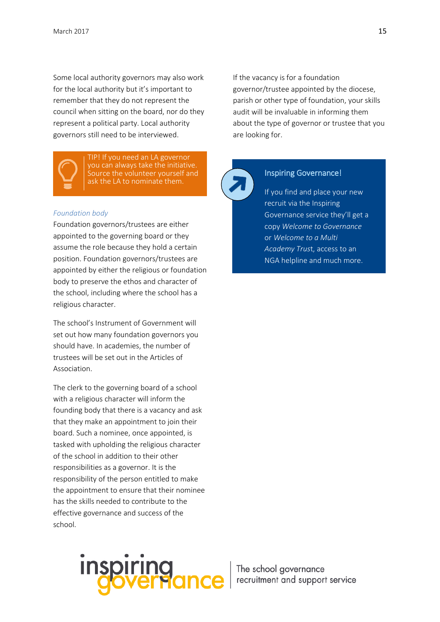Some local authority governors may also work for the local authority but it's important to remember that they do not represent the council when sitting on the board, nor do they represent a political party. Local authority governors still need to be interviewed.



TIP! If you need an LA governor you can always take the initiative. Source the volunteer yourself and ask the LA to nominate them.

#### *Foundation body*

Foundation governors/trustees are either appointed to the governing board or they assume the role because they hold a certain position. Foundation governors/trustees are appointed by either the religious or foundation body to preserve the ethos and character of the school, including where the school has a religious character.

The school's Instrument of Government will set out how many foundation governors you should have. In academies, the number of trustees will be set out in the Articles of Association.

The clerk to the governing board of a school with a religious character will inform the founding body that there is a vacancy and ask that they make an appointment to join their board. Such a nominee, once appointed, is tasked with upholding the religious character of the school in addition to their other responsibilities as a governor. It is the responsibility of the person entitled to make the appointment to ensure that their nominee has the skills needed to contribute to the effective governance and success of the school.

If the vacancy is for a foundation governor/trustee appointed by the diocese, parish or other type of foundation, your skills audit will be invaluable in informing them about the type of governor or trustee that you are looking for.



#### Inspiring Governance!

If you find and place your new recruit via the Inspiring Governance service they'll get a copy *Welcome to Governance* or *Welcome to a Multi Academy Trus*t, access to an NGA helpline and much more.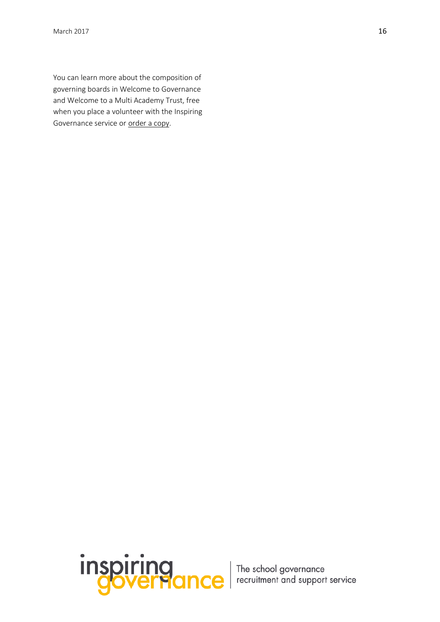You can learn more about the composition of governing boards in Welcome to Governance and Welcome to a Multi Academy Trust, free when you place a volunteer with the Inspiring Governance service or [order a copy.](http://myaccount.nga.org.uk/public/shop/default.aspx)

inspiring<br>governance | The school governance<br>governance | recruitment and support service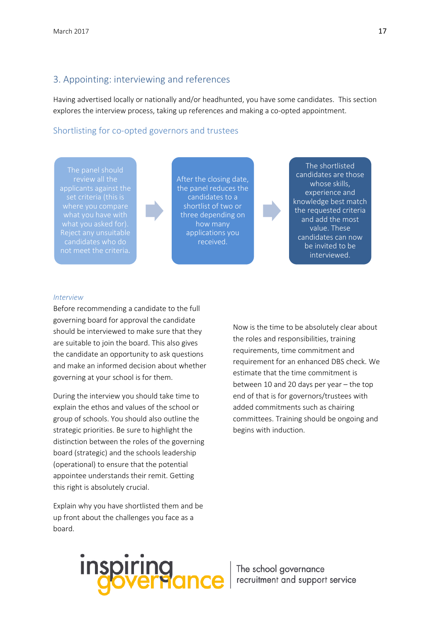### 3. Appointing: interviewing and references

Having advertised locally or nationally and/or headhunted, you have some candidates. This section explores the interview process, taking up references and making a co-opted appointment.

#### Shortlisting for co-opted governors and trustees

applicants against the candidates who do not meet the criteria.

After the closing date, the panel reduces the candidates to a shortlist of two or three depending on how many applications you received.

The shortlisted candidates are those whose skills, experience and knowledge best match the requested criteria and add the most value. These candidates can now be invited to be interviewed.

#### *Interview*

Before recommending a candidate to the full governing board for approval the candidate should be interviewed to make sure that they are suitable to join the board. This also gives the candidate an opportunity to ask questions and make an informed decision about whether governing at your school is for them.

During the interview you should take time to explain the ethos and values of the school or group of schools. You should also outline the strategic priorities. Be sure to highlight the distinction between the roles of the governing board (strategic) and the schools leadership (operational) to ensure that the potential appointee understands their remit. Getting this right is absolutely crucial.

Explain why you have shortlisted them and be up front about the challenges you face as a board.

Now is the time to be absolutely clear about the roles and responsibilities, training requirements, time commitment and requirement for an enhanced DBS check. We estimate that the time commitment is between 10 and 20 days per year – the top end of that is for governors/trustees with added commitments such as chairing committees. Training should be ongoing and begins with induction.

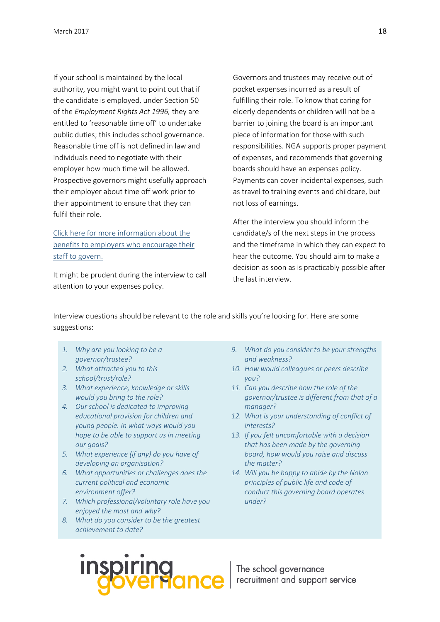If your school is maintained by the local authority, you might want to point out that if the candidate is employed, under Section 50 of the *Employment Rights Act 1996,* they are entitled to 'reasonable time off' to undertake public duties; this includes school governance. Reasonable time off is not defined in law and individuals need to negotiate with their employer how much time will be allowed. Prospective governors might usefully approach their employer about time off work prior to their appointment to ensure that they can fulfil their role.

[Click here for more information about the](http://www.inspiringgovernors.org/employers/)  [benefits to employers who encourage](http://www.inspiringgovernors.org/employers/) their [staff to govern.](http://www.inspiringgovernors.org/employers/)

It might be prudent during the interview to call attention to your expenses policy.

Governors and trustees may receive out of pocket expenses incurred as a result of fulfilling their role. To know that caring for elderly dependents or children will not be a barrier to joining the board is an important piece of information for those with such responsibilities. NGA supports proper payment of expenses, and recommends that governing boards should have an expenses policy. Payments can cover incidental expenses, such as travel to training events and childcare, but not loss of earnings.

After the interview you should inform the candidate/s of the next steps in the process and the timeframe in which they can expect to hear the outcome. You should aim to make a decision as soon as is practicably possible after the last interview.

Interview questions should be relevant to the role and skills you're looking for. Here are some suggestions:

- *1. Why are you looking to be a governor/trustee?*
- *2. What attracted you to this school/trust/role?*
- *3. What experience, knowledge or skills would you bring to the role?*
- *4. Our school is dedicated to improving educational provision for children and young people. In what ways would you hope to be able to support us in meeting our goals?*
- *5. What experience (if any) do you have of developing an organisation?*
- *6. What opportunities or challenges does the current political and economic environment offer?*
- *7. Which professional/voluntary role have you enjoyed the most and why?*
- *8. What do you consider to be the greatest achievement to date?*
- *9. What do you consider to be your strengths and weakness?*
- *10. How would colleagues or peers describe you?*
- *11. Can you describe how the role of the governor/trustee is different from that of a manager?*
- *12. What is your understanding of conflict of interests?*
- *13. If you felt uncomfortable with a decision that has been made by the governing board, how would you raise and discuss the matter?*
- *14. Will you be happy to abide by the Nolan principles of public life and code of conduct this governing board operates under?*

**inspiring**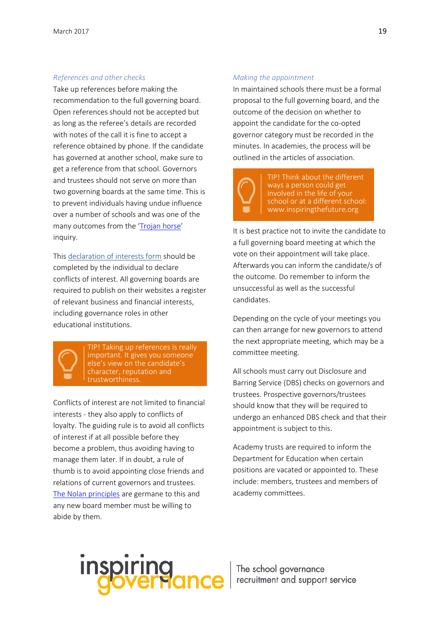#### *References and other checks*

Take up references before making the recommendation to the full governing board. Open references should not be accepted but as long as the referee's details are recorded with notes of the call it is fine to accept a reference obtained by phone. If the candidate has governed at another school, make sure to get a reference from that school. Governors and trustees should not serve on more than two governing boards at the same time. This is to prevent individuals having undue influence over a number of schools and was one of the many outcomes from the ['Trojan horse'](http://www.nga.org.uk/Chairs-Blog/Current-Blogs/Sept-Dec-14/Lessons-from-Trojan-Horse.aspx) inquiry.

This [declaration](http://www.nga.org.uk/getattachment/522cf922-61dc-4124-b071-24452698036f/Declaration-of-Interest-Form-FINAL.docx.aspx) of interests form should be completed by the individual to declare conflicts of interest. All governing boards are required to publish on their websites a register of relevant business and financial interests, including governance roles in other educational institutions.



TIP! Taking up references is really important. It gives you someone else's view on the candidate's character, reputation and trustworthiness.

Conflicts of interest are not limited to financial interests - they also apply to conflicts of loyalty. The guiding rule is to avoid all conflicts of interest if at all possible before they become a problem, thus avoiding having to manage them later. If in doubt, a rule of thumb is to avoid appointing close friends and relations of current governors and trustees. [The Nolan principles](https://www.gov.uk/government/publications/the-7-principles-of-public-life/the-7-principles-of-public-life--2) are germane to this and any new board member must be willing to abide by them.

#### *Making the appointment*

In maintained schools there must be a formal proposal to the full governing board, and the outcome of the decision on whether to appoint the candidate for the co-opted governor category must be recorded in the minutes. In academies, the process will be outlined in the articles of association.



TIP! Think about the different ways a person could get involved in the life of your school or at a different school: www.inspiringthefuture.org

It is best practice not to invite the candidate to a full governing board meeting at which the vote on their appointment will take place. Afterwards you can inform the candidate/s of the outcome. Do remember to inform the unsuccessful as well as the successful candidates.

Depending on the cycle of your meetings you can then arrange for new governors to attend the next appropriate meeting, which may be a committee meeting.

All schools must carry out Disclosure and Barring Service (DBS) checks on governors and trustees. Prospective governors/trustees should know that they will be required to undergo an enhanced DBS check and that their appointment is subject to this.

Academy trusts are required to inform the Department for Education when certain positions are vacated or appointed to. These include: members, trustees and members of academy committees.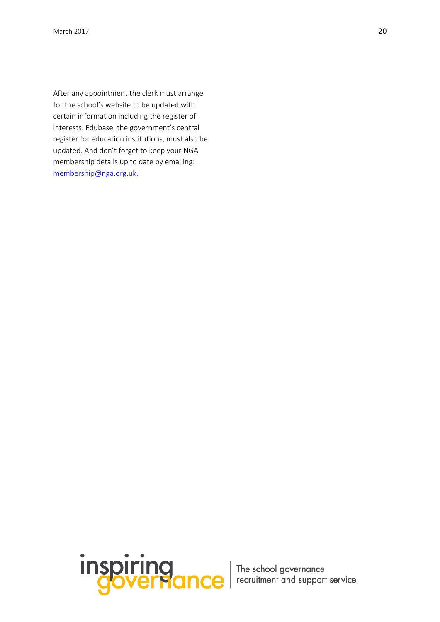<span id="page-20-0"></span>After any appointment the clerk must arrange for the school's website to be updated with certain information including the register of interests. Edubase, the government's central register for education institutions, must also be updated. And don't forget to keep your NGA membership details up to date by emailing: [membership@nga.org.uk.](mailto:membership@nga.org.uk)

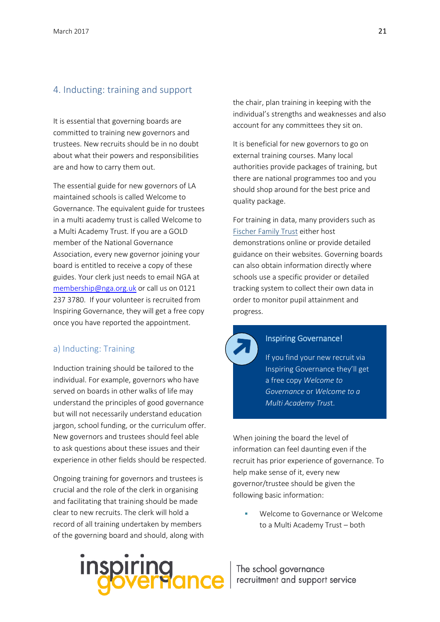### 4. Inducting: training and support

It is essential that governing boards are committed to training new governors and trustees. New recruits should be in no doubt about what their powers and responsibilities are and how to carry them out.

The essential guide for new governors of LA maintained schools is called [Welcome to](http://www.nga.org.uk/Publications/Welcome-to-Governance-Resources.aspx)  [Governance.](http://www.nga.org.uk/Publications/Welcome-to-Governance-Resources.aspx) The equivalent guide for trustees in a multi academy trust is called [Welcome to](https://goo.gl/dP1tP7)  [a Multi Academy Trust.](https://goo.gl/dP1tP7) If you are a GOLD member of the National Governance Association, every new governor joining your board is entitled to receive a copy of these guides. Your clerk just needs to email NGA at [membership@nga.org.uk](mailto:membership@nga.org.uk) or call us on 0121 237 3780. If your volunteer is recruited from Inspiring Governance, they will get a free copy once you have reported the appointment.

#### a) Inducting: Training

Induction training should be tailored to the individual. For example, governors who have served on boards in other walks of life may understand the principles of good governance but will not necessarily understand education jargon, school funding, or the curriculum offer. New governors and trustees should feel able to ask questions about these issues and their experience in other fields should be respected.

Ongoing training for governors and trustees is crucial and the role of the clerk in organising and facilitating that training should be made clear to new recruits. The clerk will hold a record of all training undertaken by members of the governing board and should, along with



the chair, plan training in keeping with the individual's strengths and weaknesses and also account for any committees they sit on.

It is beneficial for new governors to go on external training courses. Many local authorities provide packages of training, but there are national programmes too and you should shop around for the best price and quality package.

For training in data, many providers such as [Fischer Family Trust](http://www.fft.org.uk/fft-live/governor-dashboard.aspx) either host demonstrations online or provide detailed guidance on their websites. Governing boards can also obtain information directly where schools use a specific provider or detailed tracking system to collect their own data in order to monitor pupil attainment and progress.



#### Inspiring Governance!

If you find your new recruit via Inspiring Governance they'll get a free copy *Welcome to Governance* or *Welcome to a Multi Academy Trus*t.

When joining the board the level of information can feel daunting even if the recruit has prior experience of governance. To help make sense of it, every new governor/trustee should be given the following basic information:

 Welcome to Governance or Welcome to a Multi Academy Trust – both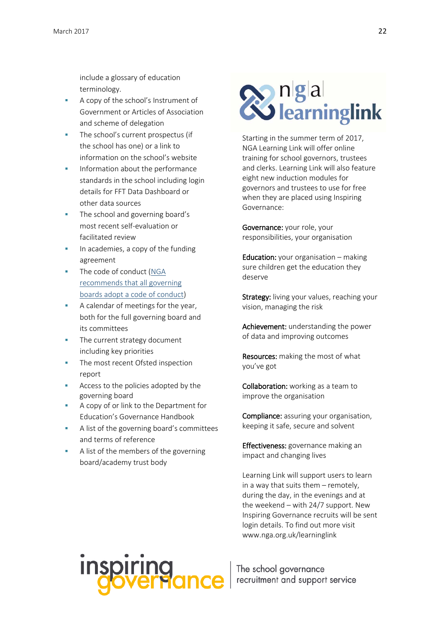include a glossary of education terminology.

- A copy of the school's Instrument of Government or Articles of Association and scheme of delegation
- The school's current prospectus (if the school has one) or a link to information on the school's website
- Information about the performance standards in the school including login details for FFT Data Dashboard or other data sources
- The school and governing board's most recent self-evaluation or facilitated review
- In academies, a copy of the funding agreement
- The code of conduct [\(NGA](http://www.nga.org.uk/Guidance/Legislation,policies-and-procedures/Model-Policies/Code-of-Practice.aspx)  [recommends that all governing](http://www.nga.org.uk/Guidance/Legislation,policies-and-procedures/Model-Policies/Code-of-Practice.aspx)  boards [adopt a code of conduct\)](http://www.nga.org.uk/Guidance/Legislation,policies-and-procedures/Model-Policies/Code-of-Practice.aspx)
- A calendar of meetings for the year, both for the full governing board and its committees
- The current strategy document including key priorities
- The most recent Ofsted inspection report
- Access to the policies adopted by the governing board
- A copy of or link to the Department for Education's Governance Handbook
- A list of the governing board's committees and terms of reference
- A list of the members of the governing board/academy trust body

# **2** ngal<br>23 learninglink

Starting in the summer term of 2017, NGA Learning Link will offer online training for school governors, trustees and clerks. Learning Link will also feature eight new induction modules for governors and trustees to use for free when they are placed using [Inspiring](http://www.inspiringgovernance.org/) [Governance:](http://www.inspiringgovernance.org/)

Governance: your role, your responsibilities, your organisation

Education: your organisation – making sure children get the education they deserve

Strategy: living your values, reaching your vision, managing the risk

Achievement: understanding the power of data and improving outcomes

Resources: making the most of what you've got

Collaboration: working as a team to improve the organisation

Compliance: assuring your organisation, keeping it safe, secure and solvent

Effectiveness: governance making an impact and changing lives

Learning Link will support users to learn in a way that suits them – remotely, during the day, in the evenings and at the weekend – with 24/7 support. New Inspiring Governance recruits will be sent login details. To find out more visit www.nga.org.uk/learninglink

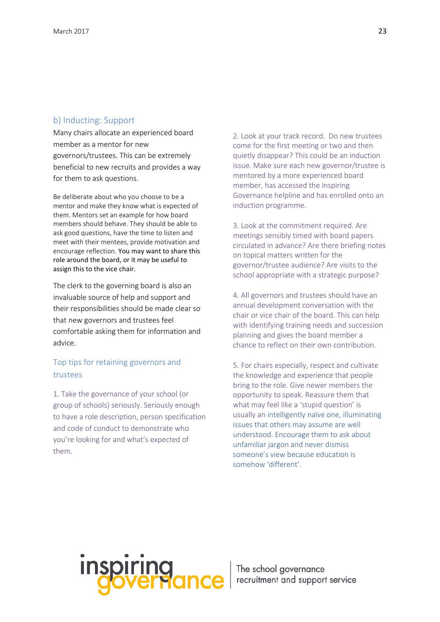#### b) Inducting: Support

Many chairs allocate an experienced board member as a mentor for new governors/trustees. This can be extremely beneficial to new recruits and provides a way for them to ask questions.

Be deliberate about who you choose to be a mentor and make they know what is expected of them. Mentors set an example for how board members should behave. They should be able to ask good questions, have the time to listen and meet with their mentees, provide motivation and encourage reflection. You may want to share this role around the board, or it may be useful to assign this to the vice chair.

The clerk to the governing board is also an invaluable source of help and support and their responsibilities should be made clear so that new governors and trustees feel comfortable asking them for information and advice.

# Top tips for retaining governors and trustees

1. Take the governance of your school (or group of schools) seriously. Seriously enough to have a role description, person specification and code of conduct to demonstrate who you're looking for and what's expected of them.

2. Look at your track record. Do new trustees come for the first meeting or two and then quietly disappear? This could be an induction issue. Make sure each new governor/trustee is mentored by a more experienced board member, has accessed the Inspiring Governance helpline and has enrolled onto an induction programme.

3. Look at the commitment required. Are meetings sensibly timed with board papers circulated in advance? Are there briefing notes on topical matters written for the governor/trustee audience? Are visits to the school appropriate with a strategic purpose?

4. All governors and trustees should have an annual development conversation with the chair or vice chair of the board. This can help with identifying training needs and succession planning and gives the board member a chance to reflect on their own contribution.

5. For chairs especially, respect and cultivate the knowledge and experience that people bring to the role. Give newer members the opportunity to speak. Reassure them that what may feel like a 'stupid question' is usually an intelligently naïve one, illuminating issues that others may assume are well understood. Encourage them to ask about unfamiliar jargon and never dismiss someone's view because education is somehow 'different'.

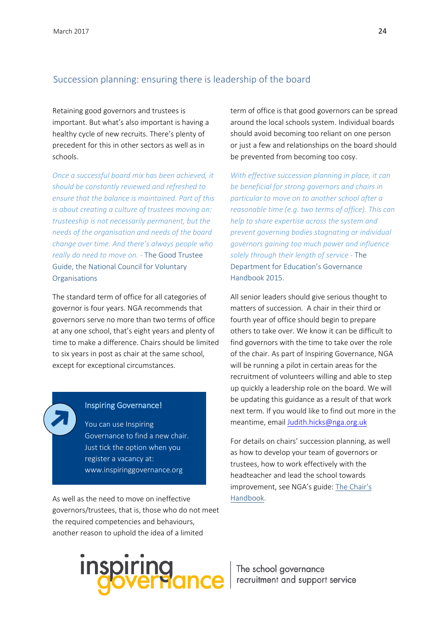### Succession planning: ensuring there is leadership of the board

Retaining good governors and trustees is important. But what's also important is having a healthy cycle of new recruits. There's plenty of precedent for this in other sectors as well as in schools.

*Once a successful board mix has been achieved, it should be constantly reviewed and refreshed to ensure that the balance is maintained. Part of this is about creating a culture of trustees moving on: trusteeship is not necessarily permanent, but the needs of the organisation and needs of the board change over time. And there's always people who really do need to move on. -* The Good Trustee Guide, the National Council for Voluntary **Organisations** 

The standard term of office for all categories of governor is four years. NGA recommends that governors serve no more than two terms of office at any one school, that's eight years and plenty of time to make a difference. Chairs should be limited to six years in post as chair at the same school, except for exceptional circumstances.

#### Inspiring Governance!

You can use Inspiring Governance to find a new chair. Just tick the option when you register a vacancy at: www.inspiringgovernance.org

As well as the need to move on ineffective governors/trustees, that is, those who do not meet the required competencies and behaviours, another reason to uphold the idea of a limited

term of office is that good governors can be spread around the local schools system. Individual boards should avoid becoming too reliant on one person or just a few and relationships on the board should be prevented from becoming too cosy.

*With effective succession planning in place, it can be beneficial for strong governors and chairs in particular to move on to another school after a reasonable time (e.g. two terms of office). This can help to share expertise across the system and prevent governing bodies stagnating or individual governors gaining too much power and influence solely through their length of service -* The Department for Education's Governance Handbook 2015.

All senior leaders should give serious thought to matters of succession. A chair in their third or fourth year of office should begin to prepare others to take over. We know it can be difficult to find governors with the time to take over the role of the chair. As part of Inspiring Governance, NGA will be running a pilot in certain areas for the recruitment of volunteers willing and able to step up quickly a leadership role on the board. We will be updating this guidance as a result of that work next term. If you would like to find out more in the meantime, email [Judith.hicks@nga.org.uk](mailto:Judith.hicks@nga.org.uk)

For details on chairs' succession planning, as well as how to develop your team of governors or trustees, how to work effectively with the headteacher and lead the school towards improvement, see NGA's guide: [The Chair's](http://www.nga.org.uk/Publications/The-chair-s-handbook.aspx)  [Handbook.](http://www.nga.org.uk/Publications/The-chair-s-handbook.aspx)

inspiring<br>governance | The school governance<br>governance | recruitment and support service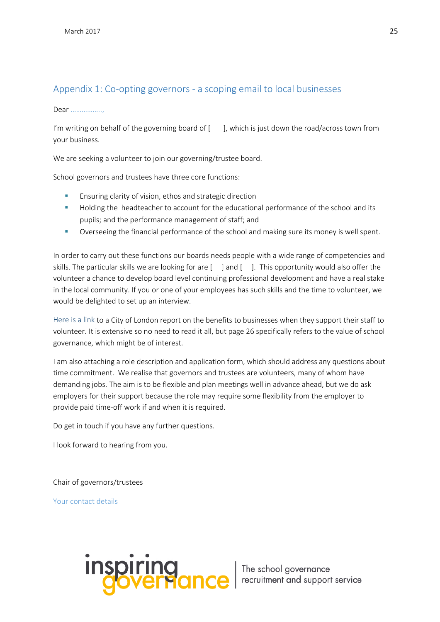# <span id="page-25-0"></span>Appendix 1: Co-opting governors - a scoping email to local businesses

Dear ……………..,

I'm writing on behalf of the governing board of  $\lceil \quad \rceil$ , which is just down the road/across town from your business.

We are seeking a volunteer to join our governing/trustee board.

School governors and trustees have three core functions:

- **Ensuring clarity of vision, ethos and strategic direction**
- **Holding the headteacher to account for the educational performance of the school and its** pupils; and the performance management of staff; and
- Overseeing the financial performance of the school and making sure its money is well spent.

In order to carry out these functions our boards needs people with a wide range of competencies and skills. The particular skills we are looking for are  $\lceil \quad \rceil$  and  $\lceil \quad \rceil$ . This opportunity would also offer the volunteer a chance to develop board level continuing professional development and have a real stake in the local community. If you or one of your employees has such skills and the time to volunteer, we would be delighted to set up an interview.

[Here is a link](http://www.cityoflondon.gov.uk/business/economic-research-and-information/research-publications/Pages/volunteering-The-business-case-the-benefits-of-corporate-volunteering-programmes-in-education.aspx) to a City of London report on the benefits to businesses when they support their staff to volunteer. It is extensive so no need to read it all, but page 26 specifically refers to the value of school governance, which might be of interest.

I am also attaching a role description and application form, which should address any questions about time commitment. We realise that governors and trustees are volunteers, many of whom have demanding jobs. The aim is to be flexible and plan meetings well in advance ahead, but we do ask employers for their support because the role may require some flexibility from the employer to provide paid time-off work if and when it is required.

Do get in touch if you have any further questions.

I look forward to hearing from you.

Chair of governors/trustees

Your contact details

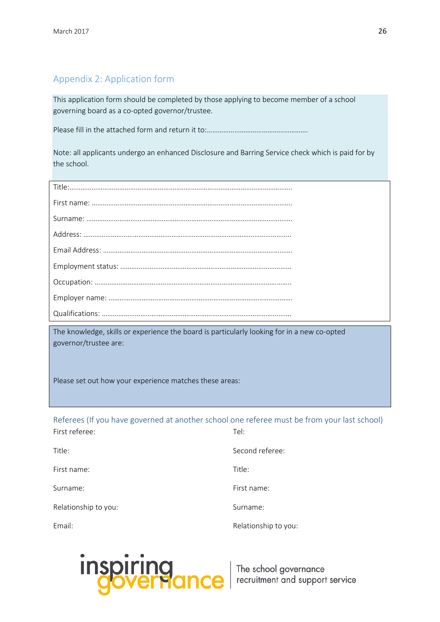# Appendix 2: Application form

This application form should be completed by those applying to become member of a school governing board as a co-opted governor/trustee.

Please fill in the attached form and return it to:……………………………………………….

Note: all applicants undergo an enhanced Disclosure and Barring Service check which is paid for by the school.

The knowledge, skills or experience the board is particularly looking for in a new co-opted governor/trustee are:

Please set out how your experience matches these areas:

Referees (If you have governed at another school one referee must be from your last school) First referee: Tel:

| Title:               | Second referee:      |
|----------------------|----------------------|
| First name:          | Title:               |
| Surname:             | First name:          |
| Relationship to you: | Surname:             |
| Email:               | Relationship to you: |

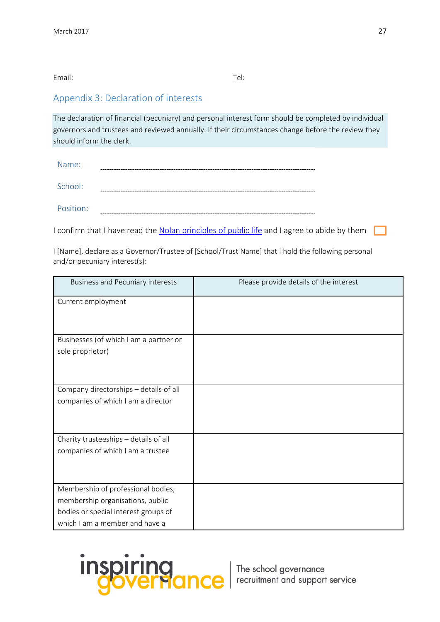#### Email: Tel:

# Appendix 3: Declaration of interests

The declaration of financial (pecuniary) and personal interest form should be completed by individual governors and trustees and reviewed annually. If their circumstances change before the review they should inform the clerk.

| Name:     |                                     |
|-----------|-------------------------------------|
| School:   | <b>THE R</b>                        |
| Position: | $- - -$<br>------------------------ |

I confirm that I have read the [Nolan principles of public life](https://www.gov.uk/government/publications/the-7-principles-of-public-life/the-7-principles-of-public-life--2) and I agree to abide by them

I [Name], declare as a Governor/Trustee of [School/Trust Name] that I hold the following personal and/or pecuniary interest(s):

| <b>Business and Pecuniary interests</b> | Please provide details of the interest |
|-----------------------------------------|----------------------------------------|
| Current employment                      |                                        |
| Businesses (of which I am a partner or  |                                        |
| sole proprietor)                        |                                        |
| Company directorships - details of all  |                                        |
| companies of which I am a director      |                                        |
| Charity trusteeships - details of all   |                                        |
| companies of which I am a trustee       |                                        |
| Membership of professional bodies,      |                                        |
| membership organisations, public        |                                        |
| bodies or special interest groups of    |                                        |
| which I am a member and have a          |                                        |

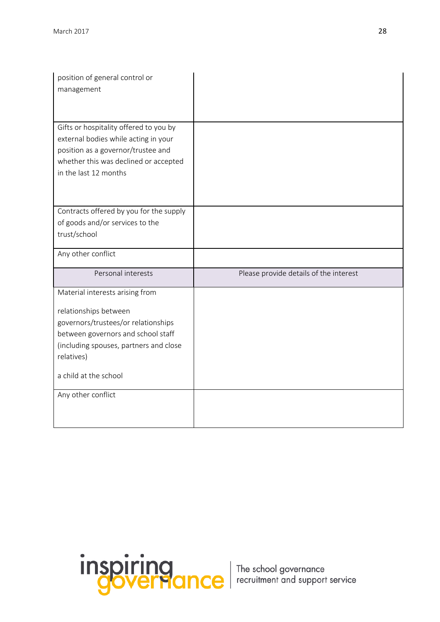| position of general control or<br>management                                                                                                                                                                                                 |                                        |
|----------------------------------------------------------------------------------------------------------------------------------------------------------------------------------------------------------------------------------------------|----------------------------------------|
| Gifts or hospitality offered to you by<br>external bodies while acting in your<br>position as a governor/trustee and<br>whether this was declined or accepted<br>in the last 12 months                                                       |                                        |
| Contracts offered by you for the supply<br>of goods and/or services to the<br>trust/school                                                                                                                                                   |                                        |
| Any other conflict                                                                                                                                                                                                                           |                                        |
|                                                                                                                                                                                                                                              |                                        |
| Personal interests                                                                                                                                                                                                                           | Please provide details of the interest |
| Material interests arising from<br>relationships between<br>governors/trustees/or relationships<br>between governors and school staff<br>(including spouses, partners and close<br>relatives)<br>a child at the school<br>Any other conflict |                                        |

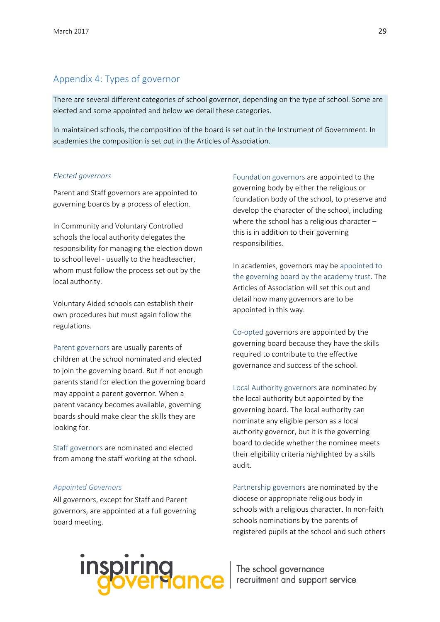# Appendix 4: Types of governor

There are several different categories of school governor, depending on the type of school. Some are elected and some appointed and below we detail these categories.

In maintained schools, the composition of the board is set out in the Instrument of Government. In academies the composition is set out in the Articles of Association.

#### *Elected governors*

Parent and Staff governors are appointed to governing boards by a process of election.

In Community and Voluntary Controlled schools the local authority delegates the responsibility for managing the election down to school level - usually to the headteacher, whom must follow the process set out by the local authority.

Voluntary Aided schools can establish their own procedures but must again follow the regulations.

Parent governors are usually parents of children at the school nominated and elected to join the governing board. But if not enough parents stand for election the governing board may appoint a parent governor. When a parent vacancy becomes available, governing boards should make clear the skills they are looking for.

Staff governors are nominated and elected from among the staff working at the school.

#### *Appointed Governors*

All governors, except for Staff and Parent governors, are appointed at a full governing board meeting.

Foundation governors are appointed to the governing body by either the religious or foundation body of the school, to preserve and develop the character of the school, including where the school has a religious character – this is in addition to their governing responsibilities.

In academies, governors may be appointed to the governing board by the academy trust. The Articles of Association will set this out and detail how many governors are to be appointed in this way.

Co-opted governors are appointed by the governing board because they have the skills required to contribute to the effective governance and success of the school.

Local Authority governors are nominated by the local authority but appointed by the governing board. The local authority can nominate any eligible person as a local authority governor, but it is the governing board to decide whether the nominee meets their eligibility criteria highlighted by a skills audit.

Partnership governors are nominated by the diocese or appropriate religious body in schools with a religious character. In non-faith schools nominations by the parents of registered pupils at the school and such others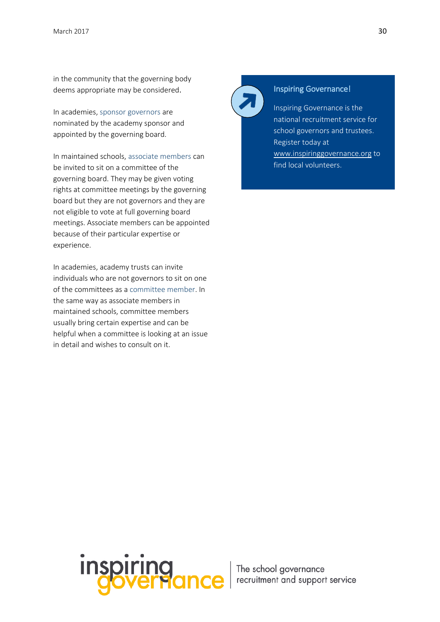in the community that the governing body deems appropriate may be considered.

In academies, sponsor governors are nominated by the academy sponsor and appointed by the governing board.

In maintained schools, associate members can be invited to sit on a committee of the governing board. They may be given voting rights at committee meetings by the governing board but they are not governors and they are not eligible to vote at full governing board meetings. Associate members can be appointed because of their particular expertise or experience.

In academies, academy trusts can invite individuals who are not governors to sit on one of the committees as a committee member. In the same way as associate members in maintained schools, committee members usually bring certain expertise and can be helpful when a committee is looking at an issue in detail and wishes to consult on it.



### Inspiring Governance!

Inspiring Governance is the national recruitment service for school governors and trustees. Register today at [www.inspiringgovernance.org](http://www.inspiringgovernance.org/) to find local volunteers.